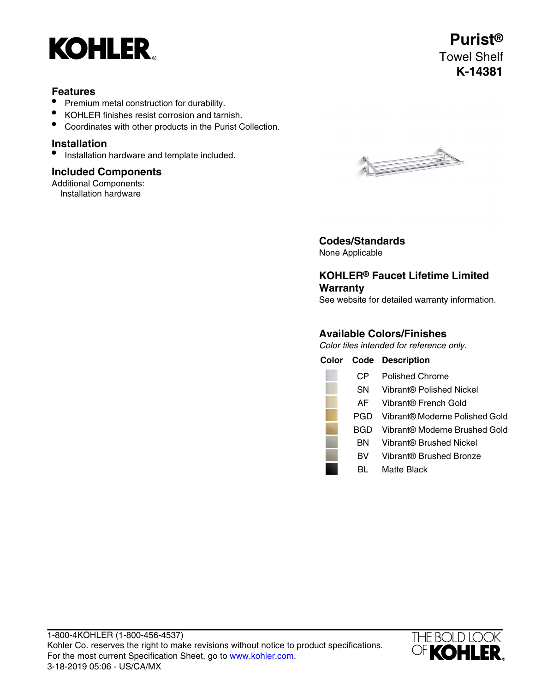

## **Features**

- Premium metal construction for durability.
- KOHLER finishes resist corrosion and tarnish.
- Coordinates with other products in the Purist Collection.

### **Installation**

• Installation hardware and template included.

### **Included Components**

Additional Components: Installation hardware



# **Codes/Standards**

None Applicable

# **KOHLER® Faucet Lifetime Limited Warranty**

See website for detailed warranty information.

# **Available Colors/Finishes**

Color tiles intended for reference only.

|           | <b>Color Code Description</b>  |
|-----------|--------------------------------|
| CP        | Polished Chrome                |
| SΝ        | Vibrant® Polished Nickel       |
| AF        | Vibrant® French Gold           |
| PGD.      | Vibrant® Moderne Polished Gold |
| BGD       | Vibrant® Moderne Brushed Gold  |
| вN        | Vibrant® Brushed Nickel        |
| <b>BV</b> | Vibrant® Brushed Bronze        |
|           | Matte Black                    |